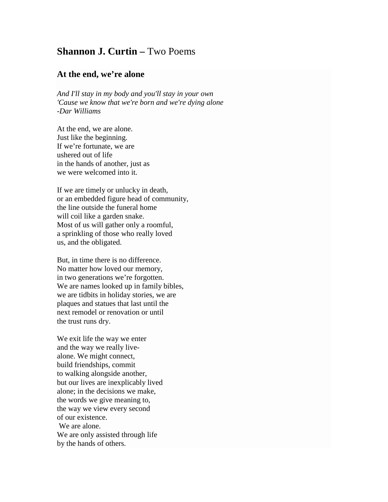## **Shannon J. Curtin –** Two Poems

## **At the end, we're alone**

*And I'll stay in my body and you'll stay in your own 'Cause we know that we're born and we're dying alone -Dar Williams*

At the end, we are alone. Just like the beginning. If we're fortunate, we are ushered out of life in the hands of another, just as we were welcomed into it.

If we are timely or unlucky in death, or an embedded figure head of community, the line outside the funeral home will coil like a garden snake. Most of us will gather only a roomful, a sprinkling of those who really loved us, and the obligated.

But, in time there is no difference. No matter how loved our memory, in two generations we're forgotten. We are names looked up in family bibles, we are tidbits in holiday stories, we are plaques and statues that last until the next remodel or renovation or until the trust runs dry.

We exit life the way we enter and the way we really livealone. We might connect, build friendships, commit to walking alongside another, but our lives are inexplicably lived alone; in the decisions we make, the words we give meaning to, the way we view every second of our existence. We are alone. We are only assisted through life by the hands of others.